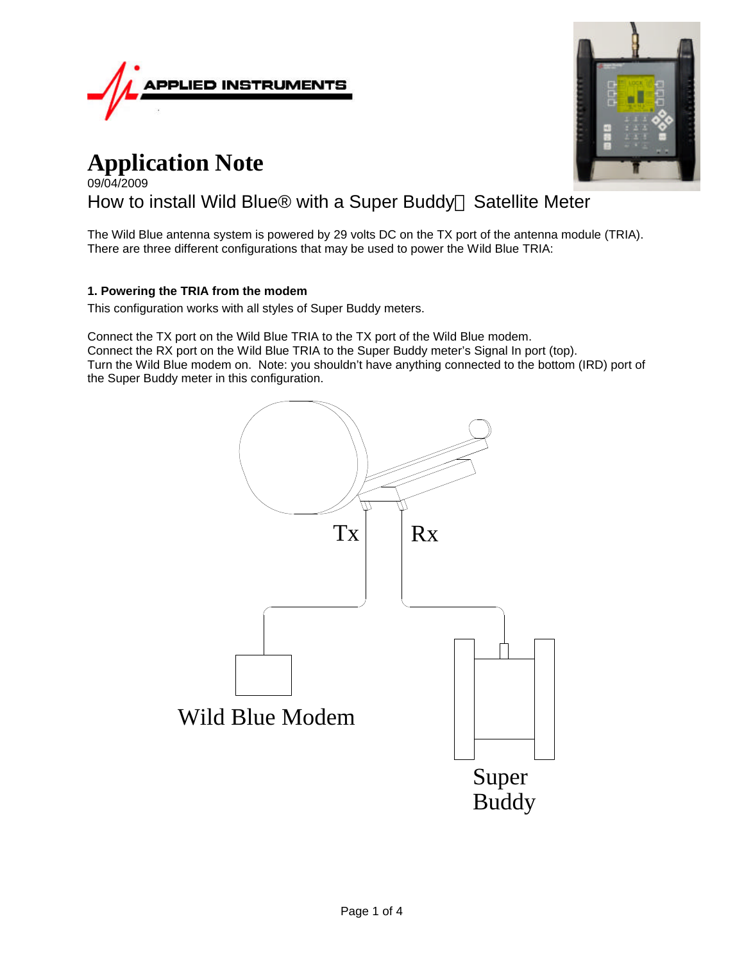

# **Application Note** 09/04/2009

# How to install Wild Blue® with a Super Buddy<sup>™</sup> Satellite Meter

The Wild Blue antenna system is powered by 29 volts DC on the TX port of the antenna module (TRIA). There are three different configurations that may be used to power the Wild Blue TRIA:

# **1. Powering the TRIA from the modem**

This configuration works with all styles of Super Buddy meters.

Connect the TX port on the Wild Blue TRIA to the TX port of the Wild Blue modem. Connect the RX port on the Wild Blue TRIA to the Super Buddy meter's Signal In port (top). Turn the Wild Blue modem on. Note: you shouldn't have anything connected to the bottom (IRD) port of the Super Buddy meter in this configuration.



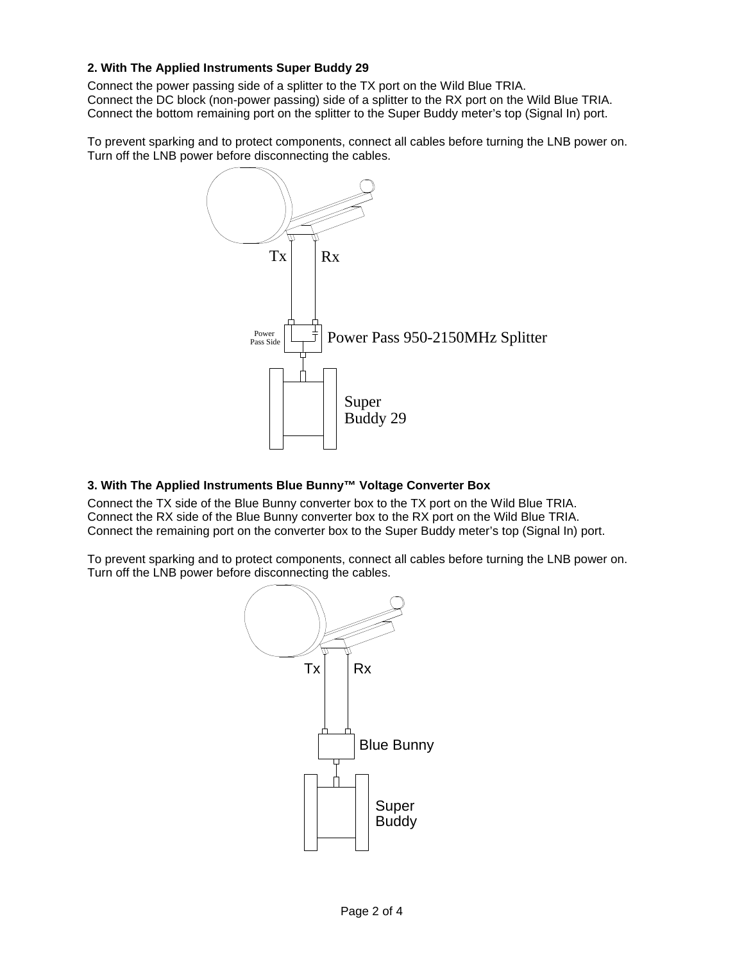# **2. With The Applied Instruments Super Buddy 29**

Connect the power passing side of a splitter to the TX port on the Wild Blue TRIA. Connect the DC block (non-power passing) side of a splitter to the RX port on the Wild Blue TRIA. Connect the bottom remaining port on the splitter to the Super Buddy meter's top (Signal In) port.

To prevent sparking and to protect components, connect all cables before turning the LNB power on. Turn off the LNB power before disconnecting the cables.



# **3. With The Applied Instruments Blue Bunny™ Voltage Converter Box**

Connect the TX side of the Blue Bunny converter box to the TX port on the Wild Blue TRIA. Connect the RX side of the Blue Bunny converter box to the RX port on the Wild Blue TRIA. Connect the remaining port on the converter box to the Super Buddy meter's top (Signal In) port.

To prevent sparking and to protect components, connect all cables before turning the LNB power on. Turn off the LNB power before disconnecting the cables.

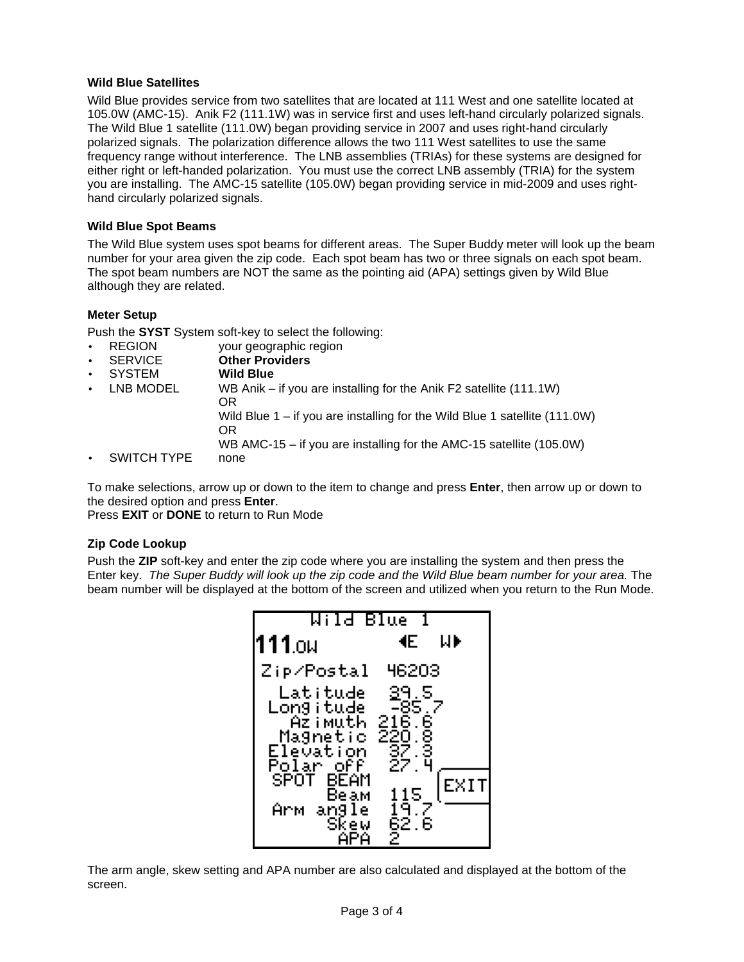#### **Wild Blue Satellites**

Wild Blue provides service from two satellites that are located at 111 West and one satellite located at 105.0W (AMC-15). Anik F2 (111.1W) was in service first and uses left-hand circularly polarized signals. The Wild Blue 1 satellite (111.0W) began providing service in 2007 and uses right-hand circularly polarized signals. The polarization difference allows the two 111 West satellites to use the same frequency range without interference. The LNB assemblies (TRIAs) for these systems are designed for either right or left-handed polarization. You must use the correct LNB assembly (TRIA) for the system you are installing. The AMC-15 satellite (105.0W) began providing service in mid-2009 and uses righthand circularly polarized signals.

### **Wild Blue Spot Beams**

The Wild Blue system uses spot beams for different areas. The Super Buddy meter will look up the beam number for your area given the zip code. Each spot beam has two or three signals on each spot beam. The spot beam numbers are NOT the same as the pointing aid (APA) settings given by Wild Blue although they are related.

# **Meter Setup**

Push the **SYST** System soft-key to select the following:

- REGION your geographic region
- SERVICE **Other Providers**
- SYSTEM **Wild Blue**
- LNB MODEL WB Anik if you are installing for the Anik F2 satellite (111.1W) OR Wild Blue 1 – if you are installing for the Wild Blue 1 satellite (111.0W) OR WB AMC-15 – if you are installing for the AMC-15 satellite (105.0W)
- SWITCH TYPE none

To make selections, arrow up or down to the item to change and press **Enter**, then arrow up or down to the desired option and press **Enter**.

Press **EXIT** or **DONE** to return to Run Mode

# **Zip Code Lookup**

Push the **ZIP** soft-key and enter the zip code where you are installing the system and then press the Enter key. *The Super Buddy will look up the zip code and the Wild Blue beam number for your area.* The beam number will be displayed at the bottom of the screen and utilized when you return to the Run Mode.



The arm angle, skew setting and APA number are also calculated and displayed at the bottom of the screen.